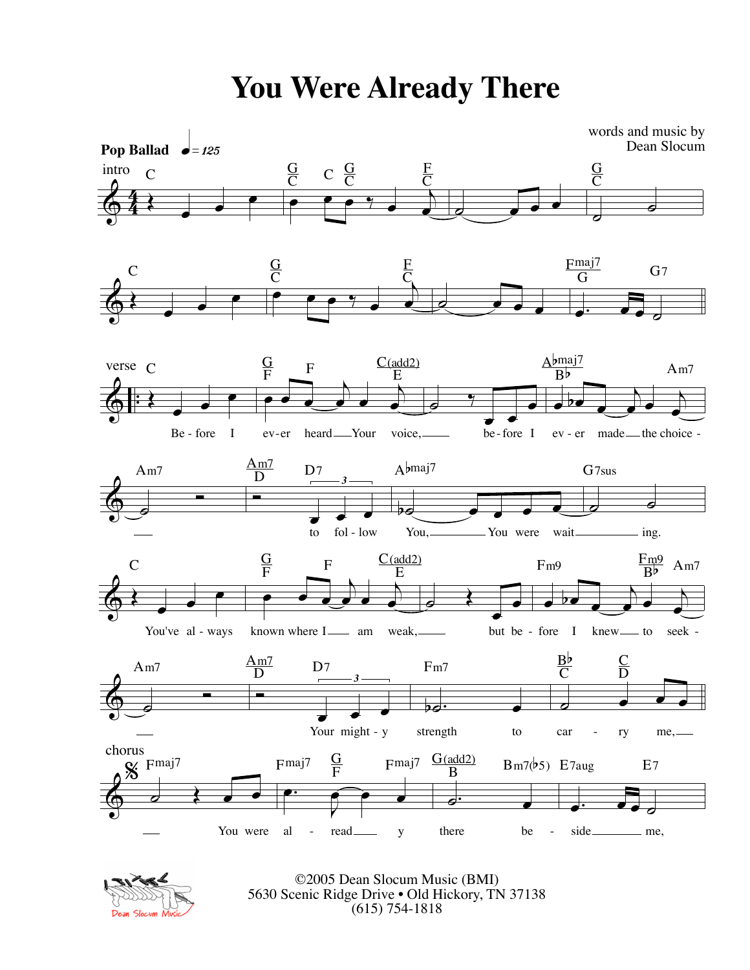**You Were Already There**





©2005 Dean Slocum Music (BMI) 5630 Scenic Ridge Drive • Old Hickory, TN 37138 (615) 754-1818